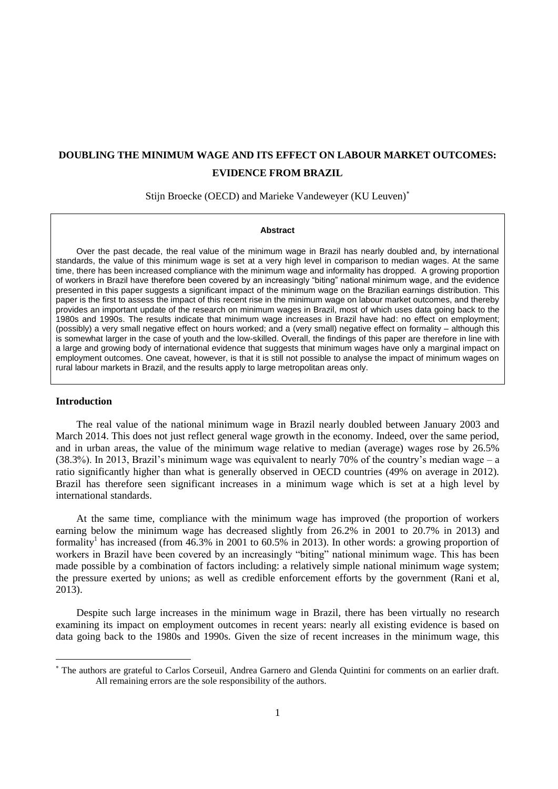# **DOUBLING THE MINIMUM WAGE AND ITS EFFECT ON LABOUR MARKET OUTCOMES: EVIDENCE FROM BRAZIL**

Stijn Broecke (OECD) and Marieke Vandeweyer (KU Leuven)

#### **Abstract**

Over the past decade, the real value of the minimum wage in Brazil has nearly doubled and, by international standards, the value of this minimum wage is set at a very high level in comparison to median wages. At the same time, there has been increased compliance with the minimum wage and informality has dropped. A growing proportion of workers in Brazil have therefore been covered by an increasingly "biting" national minimum wage, and the evidence presented in this paper suggests a significant impact of the minimum wage on the Brazilian earnings distribution. This paper is the first to assess the impact of this recent rise in the minimum wage on labour market outcomes, and thereby provides an important update of the research on minimum wages in Brazil, most of which uses data going back to the 1980s and 1990s. The results indicate that minimum wage increases in Brazil have had: no effect on employment; (possibly) a very small negative effect on hours worked; and a (very small) negative effect on formality – although this is somewhat larger in the case of youth and the low-skilled. Overall, the findings of this paper are therefore in line with a large and growing body of international evidence that suggests that minimum wages have only a marginal impact on employment outcomes. One caveat, however, is that it is still not possible to analyse the impact of minimum wages on rural labour markets in Brazil, and the results apply to large metropolitan areas only.

## **Introduction**

The real value of the national minimum wage in Brazil nearly doubled between January 2003 and March 2014. This does not just reflect general wage growth in the economy. Indeed, over the same period, and in urban areas, the value of the minimum wage relative to median (average) wages rose by 26.5% (38.3%). In 2013, Brazil's minimum wage was equivalent to nearly 70% of the country's median wage – a ratio significantly higher than what is generally observed in OECD countries (49% on average in 2012). Brazil has therefore seen significant increases in a minimum wage which is set at a high level by international standards.

At the same time, compliance with the minimum wage has improved (the proportion of workers earning below the minimum wage has decreased slightly from  $26.2\%$  in 2001 to  $20.7\%$  in 2013) and formality<sup>1</sup> has increased (from  $46.3\%$  in 2001 to  $60.5\%$  in 2013). In other words: a growing proportion of workers in Brazil have been covered by an increasingly "biting" national minimum wage. This has been made possible by a combination of factors including: a relatively simple national minimum wage system; the pressure exerted by unions; as well as credible enforcement efforts by the government (Rani et al,  $201\overline{3}$ ).

Despite such large increases in the minimum wage in Brazil, there has been virtually no research examining its impact on employment outcomes in recent years: nearly all existing evidence is based on data going back to the 1980s and 1990s. Given the size of recent increases in the minimum wage, this

The authors are grateful to Carlos Corseuil, Andrea Garnero and Glenda Quintini for comments on an earlier draft. All remaining errors are the sole responsibility of the authors.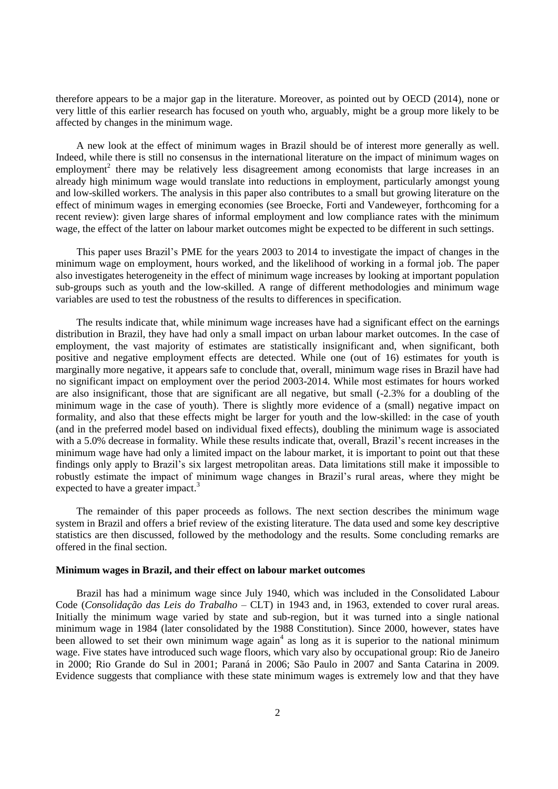therefore appears to be a major gap in the literature. Moreover, as pointed out by OECD (2014), none or very little of this earlier research has focused on youth who, arguably, might be a group more likely to be affected by changes in the minimum wage.

A new look at the effect of minimum wages in Brazil should be of interest more generally as well. Indeed, while there is still no consensus in the international literature on the impact of minimum wages on employment<sup>2</sup> there may be relatively less disagreement among economists that large increases in an already high minimum wage would translate into reductions in employment, particularly amongst young and low-skilled workers. The analysis in this paper also contributes to a small but growing literature on the effect of minimum wages in emerging economies (see Broecke, Forti and Vandeweyer, forthcoming for a recent review): given large shares of informal employment and low compliance rates with the minimum wage, the effect of the latter on labour market outcomes might be expected to be different in such settings.

This paper uses Brazil's PME for the years 2003 to 2014 to investigate the impact of changes in the minimum wage on employment, hours worked, and the likelihood of working in a formal job. The paper also investigates heterogeneity in the effect of minimum wage increases by looking at important population sub-groups such as youth and the low-skilled. A range of different methodologies and minimum wage variables are used to test the robustness of the results to differences in specification.

The results indicate that, while minimum wage increases have had a significant effect on the earnings distribution in Brazil, they have had only a small impact on urban labour market outcomes. In the case of employment, the vast majority of estimates are statistically insignificant and, when significant, both positive and negative employment effects are detected. While one (out of 16) estimates for youth is marginally more negative, it appears safe to conclude that, overall, minimum wage rises in Brazil have had no significant impact on employment over the period 2003-2014. While most estimates for hours worked are also insignificant, those that are significant are all negative, but small (-2.3% for a doubling of the minimum wage in the case of youth). There is slightly more evidence of a (small) negative impact on formality, and also that these effects might be larger for youth and the low-skilled: in the case of youth (and in the preferred model based on individual fixed effects), doubling the minimum wage is associated with a 5.0% decrease in formality. While these results indicate that, overall, Brazil's recent increases in the minimum wage have had only a limited impact on the labour market, it is important to point out that these findings only apply to Brazil's six largest metropolitan areas. Data limitations still make it impossible to robustly estimate the impact of minimum wage changes in Brazil's rural areas, where they might be expected to have a greater impact.<sup>3</sup>

The remainder of this paper proceeds as follows. The next section describes the minimum wage system in Brazil and offers a brief review of the existing literature. The data used and some key descriptive statistics are then discussed, followed by the methodology and the results. Some concluding remarks are offered in the final section.

# **Minimum wages in Brazil, and their effect on labour market outcomes**

Brazil has had a minimum wage since July 1940, which was included in the Consolidated Labour Code (*Consolidação das Leis do Trabalho* – CLT) in 1943 and, in 1963, extended to cover rural areas. Initially the minimum wage varied by state and sub-region, but it was turned into a single national minimum wage in 1984 (later consolidated by the 1988 Constitution). Since 2000, however, states have been allowed to set their own minimum wage again<sup>4</sup> as long as it is superior to the national minimum wage. Five states have introduced such wage floors, which vary also by occupational group: Rio de Janeiro in 2000; Rio Grande do Sul in 2001; Paraná in 2006; São Paulo in 2007 and Santa Catarina in 2009. Evidence suggests that compliance with these state minimum wages is extremely low and that they have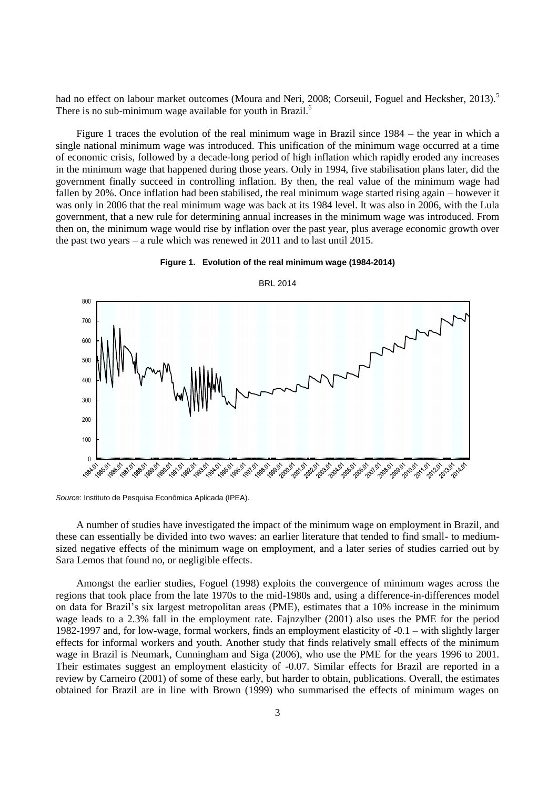had no effect on labour market outcomes (Moura and Neri, 2008; Corseuil, Foguel and Hecksher, 2013).<sup>5</sup> There is no sub-minimum wage available for youth in Brazil.<sup>6</sup>

Figure 1 traces the evolution of the real minimum wage in Brazil since 1984 – the year in which a single national minimum wage was introduced. This unification of the minimum wage occurred at a time of economic crisis, followed by a decade-long period of high inflation which rapidly eroded any increases in the minimum wage that happened during those years. Only in 1994, five stabilisation plans later, did the government finally succeed in controlling inflation. By then, the real value of the minimum wage had fallen by 20%. Once inflation had been stabilised, the real minimum wage started rising again – however it was only in 2006 that the real minimum wage was back at its 1984 level. It was also in 2006, with the Lula government, that a new rule for determining annual increases in the minimum wage was introduced. From then on, the minimum wage would rise by inflation over the past year, plus average economic growth over the past two years – a rule which was renewed in 2011 and to last until 2015.





BRL 2014

*Source*: Instituto de Pesquisa Econômica Aplicada (IPEA).

A number of studies have investigated the impact of the minimum wage on employment in Brazil, and these can essentially be divided into two waves: an earlier literature that tended to find small- to mediumsized negative effects of the minimum wage on employment, and a later series of studies carried out by Sara Lemos that found no, or negligible effects.

Amongst the earlier studies, Foguel (1998) exploits the convergence of minimum wages across the regions that took place from the late 1970s to the mid-1980s and, using a difference-in-differences model on data for Brazil's six largest metropolitan areas (PME), estimates that a 10% increase in the minimum wage leads to a 2.3% fall in the employment rate. Fajnzylber (2001) also uses the PME for the period 1982-1997 and, for low-wage, formal workers, finds an employment elasticity of -0.1 – with slightly larger effects for informal workers and youth. Another study that finds relatively small effects of the minimum wage in Brazil is Neumark, Cunningham and Siga (2006), who use the PME for the years 1996 to 2001. Their estimates suggest an employment elasticity of -0.07. Similar effects for Brazil are reported in a review by Carneiro (2001) of some of these early, but harder to obtain, publications. Overall, the estimates obtained for Brazil are in line with Brown (1999) who summarised the effects of minimum wages on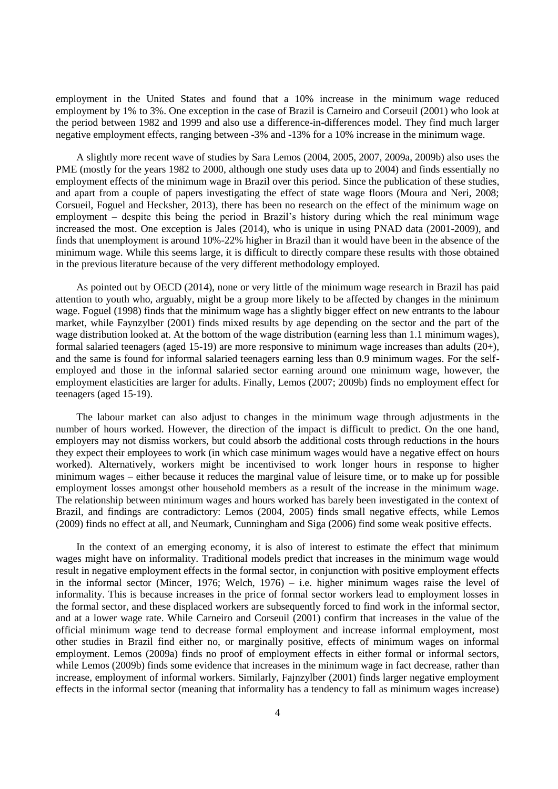employment in the United States and found that a 10% increase in the minimum wage reduced employment by 1% to 3%. One exception in the case of Brazil is Carneiro and Corseuil (2001) who look at the period between 1982 and 1999 and also use a difference-in-differences model. They find much larger negative employment effects, ranging between -3% and -13% for a 10% increase in the minimum wage.

A slightly more recent wave of studies by Sara Lemos (2004, 2005, 2007, 2009a, 2009b) also uses the PME (mostly for the years 1982 to 2000, although one study uses data up to 2004) and finds essentially no employment effects of the minimum wage in Brazil over this period. Since the publication of these studies, and apart from a couple of papers investigating the effect of state wage floors (Moura and Neri, 2008; Corsueil, Foguel and Hecksher, 2013), there has been no research on the effect of the minimum wage on employment – despite this being the period in Brazil's history during which the real minimum wage increased the most. One exception is Jales (2014), who is unique in using PNAD data (2001-2009), and finds that unemployment is around 10%-22% higher in Brazil than it would have been in the absence of the minimum wage. While this seems large, it is difficult to directly compare these results with those obtained in the previous literature because of the very different methodology employed.

As pointed out by OECD (2014), none or very little of the minimum wage research in Brazil has paid attention to youth who, arguably, might be a group more likely to be affected by changes in the minimum wage. Foguel (1998) finds that the minimum wage has a slightly bigger effect on new entrants to the labour market, while Faynzylber (2001) finds mixed results by age depending on the sector and the part of the wage distribution looked at. At the bottom of the wage distribution (earning less than 1.1 minimum wages), formal salaried teenagers (aged 15-19) are more responsive to minimum wage increases than adults (20+), and the same is found for informal salaried teenagers earning less than 0.9 minimum wages. For the selfemployed and those in the informal salaried sector earning around one minimum wage, however, the employment elasticities are larger for adults. Finally, Lemos (2007; 2009b) finds no employment effect for teenagers (aged 15-19).

The labour market can also adjust to changes in the minimum wage through adjustments in the number of hours worked. However, the direction of the impact is difficult to predict. On the one hand, employers may not dismiss workers, but could absorb the additional costs through reductions in the hours they expect their employees to work (in which case minimum wages would have a negative effect on hours worked). Alternatively, workers might be incentivised to work longer hours in response to higher minimum wages – either because it reduces the marginal value of leisure time, or to make up for possible employment losses amongst other household members as a result of the increase in the minimum wage. The relationship between minimum wages and hours worked has barely been investigated in the context of Brazil, and findings are contradictory: Lemos (2004, 2005) finds small negative effects, while Lemos (2009) finds no effect at all, and Neumark, Cunningham and Siga (2006) find some weak positive effects.

In the context of an emerging economy, it is also of interest to estimate the effect that minimum wages might have on informality. Traditional models predict that increases in the minimum wage would result in negative employment effects in the formal sector, in conjunction with positive employment effects in the informal sector (Mincer, 1976; Welch, 1976) – i.e. higher minimum wages raise the level of informality. This is because increases in the price of formal sector workers lead to employment losses in the formal sector, and these displaced workers are subsequently forced to find work in the informal sector, and at a lower wage rate. While Carneiro and Corseuil (2001) confirm that increases in the value of the official minimum wage tend to decrease formal employment and increase informal employment, most other studies in Brazil find either no, or marginally positive, effects of minimum wages on informal employment. Lemos (2009a) finds no proof of employment effects in either formal or informal sectors, while Lemos (2009b) finds some evidence that increases in the minimum wage in fact decrease, rather than increase, employment of informal workers. Similarly, Fajnzylber (2001) finds larger negative employment effects in the informal sector (meaning that informality has a tendency to fall as minimum wages increase)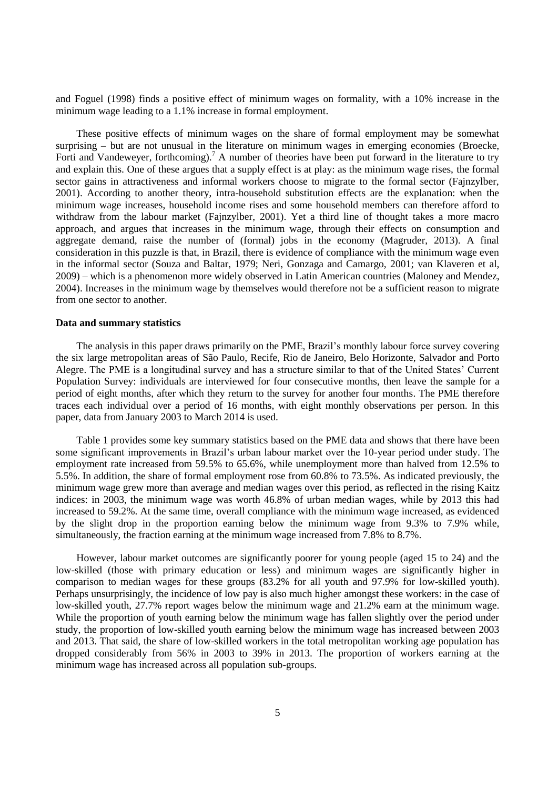and Foguel (1998) finds a positive effect of minimum wages on formality, with a 10% increase in the minimum wage leading to a 1.1% increase in formal employment.

These positive effects of minimum wages on the share of formal employment may be somewhat surprising – but are not unusual in the literature on minimum wages in emerging economies (Broecke, Forti and Vandeweyer, forthcoming).<sup>7</sup> A number of theories have been put forward in the literature to try and explain this. One of these argues that a supply effect is at play: as the minimum wage rises, the formal sector gains in attractiveness and informal workers choose to migrate to the formal sector (Fajnzylber, 2001). According to another theory, intra-household substitution effects are the explanation: when the minimum wage increases, household income rises and some household members can therefore afford to withdraw from the labour market (Fajnzylber, 2001). Yet a third line of thought takes a more macro approach, and argues that increases in the minimum wage, through their effects on consumption and aggregate demand, raise the number of (formal) jobs in the economy (Magruder, 2013). A final consideration in this puzzle is that, in Brazil, there is evidence of compliance with the minimum wage even in the informal sector (Souza and Baltar, 1979; Neri, Gonzaga and Camargo, 2001; van Klaveren et al, 2009) – which is a phenomenon more widely observed in Latin American countries (Maloney and Mendez, 2004). Increases in the minimum wage by themselves would therefore not be a sufficient reason to migrate from one sector to another.

## **Data and summary statistics**

The analysis in this paper draws primarily on the PME, Brazil's monthly labour force survey covering the six large metropolitan areas of São Paulo, Recife, Rio de Janeiro, Belo Horizonte, Salvador and Porto Alegre. The PME is a longitudinal survey and has a structure similar to that of the United States' Current Population Survey: individuals are interviewed for four consecutive months, then leave the sample for a period of eight months, after which they return to the survey for another four months. The PME therefore traces each individual over a period of 16 months, with eight monthly observations per person. In this paper, data from January 2003 to March 2014 is used.

Table 1 provides some key summary statistics based on the PME data and shows that there have been some significant improvements in Brazil's urban labour market over the 10-year period under study. The employment rate increased from 59.5% to 65.6%, while unemployment more than halved from 12.5% to 5.5%. In addition, the share of formal employment rose from 60.8% to 73.5%. As indicated previously, the minimum wage grew more than average and median wages over this period, as reflected in the rising Kaitz indices: in 2003, the minimum wage was worth 46.8% of urban median wages, while by 2013 this had increased to 59.2%. At the same time, overall compliance with the minimum wage increased, as evidenced by the slight drop in the proportion earning below the minimum wage from 9.3% to 7.9% while, simultaneously, the fraction earning at the minimum wage increased from 7.8% to 8.7%.

However, labour market outcomes are significantly poorer for young people (aged 15 to 24) and the low-skilled (those with primary education or less) and minimum wages are significantly higher in comparison to median wages for these groups (83.2% for all youth and 97.9% for low-skilled youth). Perhaps unsurprisingly, the incidence of low pay is also much higher amongst these workers: in the case of low-skilled youth, 27.7% report wages below the minimum wage and 21.2% earn at the minimum wage. While the proportion of youth earning below the minimum wage has fallen slightly over the period under study, the proportion of low-skilled youth earning below the minimum wage has increased between 2003 and 2013. That said, the share of low-skilled workers in the total metropolitan working age population has dropped considerably from 56% in 2003 to 39% in 2013. The proportion of workers earning at the minimum wage has increased across all population sub-groups.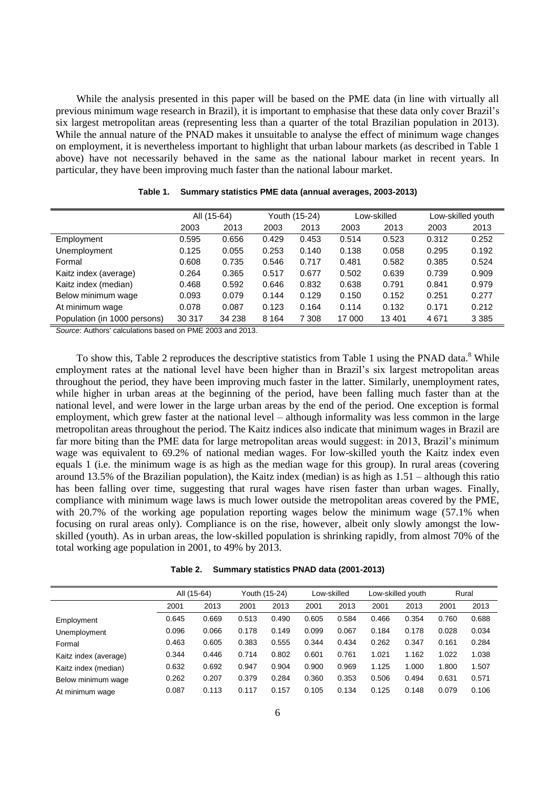While the analysis presented in this paper will be based on the PME data (in line with virtually all previous minimum wage research in Brazil), it is important to emphasise that these data only cover Brazil's six largest metropolitan areas (representing less than a quarter of the total Brazilian population in 2013). While the annual nature of the PNAD makes it unsuitable to analyse the effect of minimum wage changes on employment, it is nevertheless important to highlight that urban labour markets (as described in Table 1 above) have not necessarily behaved in the same as the national labour market in recent years. In particular, they have been improving much faster than the national labour market.

|                              |        | All (15-64) |         | Youth (15-24) |        | Low-skilled |       | Low-skilled youth |
|------------------------------|--------|-------------|---------|---------------|--------|-------------|-------|-------------------|
|                              | 2003   | 2013        | 2003    | 2013          | 2003   | 2013        | 2003  | 2013              |
| Employment                   | 0.595  | 0.656       | 0.429   | 0.453         | 0.514  | 0.523       | 0.312 | 0.252             |
| Unemployment                 | 0.125  | 0.055       | 0.253   | 0.140         | 0.138  | 0.058       | 0.295 | 0.192             |
| Formal                       | 0.608  | 0.735       | 0.546   | 0.717         | 0.481  | 0.582       | 0.385 | 0.524             |
| Kaitz index (average)        | 0.264  | 0.365       | 0.517   | 0.677         | 0.502  | 0.639       | 0.739 | 0.909             |
| Kaitz index (median)         | 0.468  | 0.592       | 0.646   | 0.832         | 0.638  | 0.791       | 0.841 | 0.979             |
| Below minimum wage           | 0.093  | 0.079       | 0.144   | 0.129         | 0.150  | 0.152       | 0.251 | 0.277             |
| At minimum wage              | 0.078  | 0.087       | 0.123   | 0.164         | 0.114  | 0.132       | 0.171 | 0.212             |
| Population (in 1000 persons) | 30 317 | 34 238      | 8 1 6 4 | 7 3 0 8       | 17 000 | 13401       | 4671  | 3 3 8 5           |

*Source*: Authors' calculations based on PME 2003 and 2013.

To show this, Table 2 reproduces the descriptive statistics from Table 1 using the PNAD data.<sup>8</sup> While employment rates at the national level have been higher than in Brazil's six largest metropolitan areas throughout the period, they have been improving much faster in the latter. Similarly, unemployment rates, while higher in urban areas at the beginning of the period, have been falling much faster than at the national level, and were lower in the large urban areas by the end of the period. One exception is formal employment, which grew faster at the national level – although informality was less common in the large metropolitan areas throughout the period. The Kaitz indices also indicate that minimum wages in Brazil are far more biting than the PME data for large metropolitan areas would suggest: in 2013, Brazil's minimum wage was equivalent to 69.2% of national median wages. For low-skilled youth the Kaitz index even equals 1 (i.e. the minimum wage is as high as the median wage for this group). In rural areas (covering around 13.5% of the Brazilian population), the Kaitz index (median) is as high as 1.51 – although this ratio has been falling over time, suggesting that rural wages have risen faster than urban wages. Finally, compliance with minimum wage laws is much lower outside the metropolitan areas covered by the PME, with 20.7% of the working age population reporting wages below the minimum wage (57.1% when focusing on rural areas only). Compliance is on the rise, however, albeit only slowly amongst the lowskilled (youth). As in urban areas, the low-skilled population is shrinking rapidly, from almost 70% of the total working age population in 2001, to 49% by 2013.

|                       | All (15-64) |       |       | Youth (15-24) |       | Low-skilled |       | Low-skilled youth |       | Rural |
|-----------------------|-------------|-------|-------|---------------|-------|-------------|-------|-------------------|-------|-------|
|                       | 2001        | 2013  | 2001  | 2013          | 2001  | 2013        | 2001  | 2013              | 2001  | 2013  |
| Employment            | 0.645       | 0.669 | 0.513 | 0.490         | 0.605 | 0.584       | 0.466 | 0.354             | 0.760 | 0.688 |
| Unemployment          | 0.096       | 0.066 | 0.178 | 0.149         | 0.099 | 0.067       | 0.184 | 0.178             | 0.028 | 0.034 |
| Formal                | 0.463       | 0.605 | 0.383 | 0.555         | 0.344 | 0.434       | 0.262 | 0.347             | 0.161 | 0.284 |
| Kaitz index (average) | 0.344       | 0.446 | 0.714 | 0.802         | 0.601 | 0.761       | 1.021 | 1.162             | 1.022 | 1.038 |
| Kaitz index (median)  | 0.632       | 0.692 | 0.947 | 0.904         | 0.900 | 0.969       | 1.125 | 1.000             | 1.800 | 1.507 |
| Below minimum wage    | 0.262       | 0.207 | 0.379 | 0.284         | 0.360 | 0.353       | 0.506 | 0.494             | 0.631 | 0.571 |
| At minimum wage       | 0.087       | 0.113 | 0.117 | 0.157         | 0.105 | 0.134       | 0.125 | 0.148             | 0.079 | 0.106 |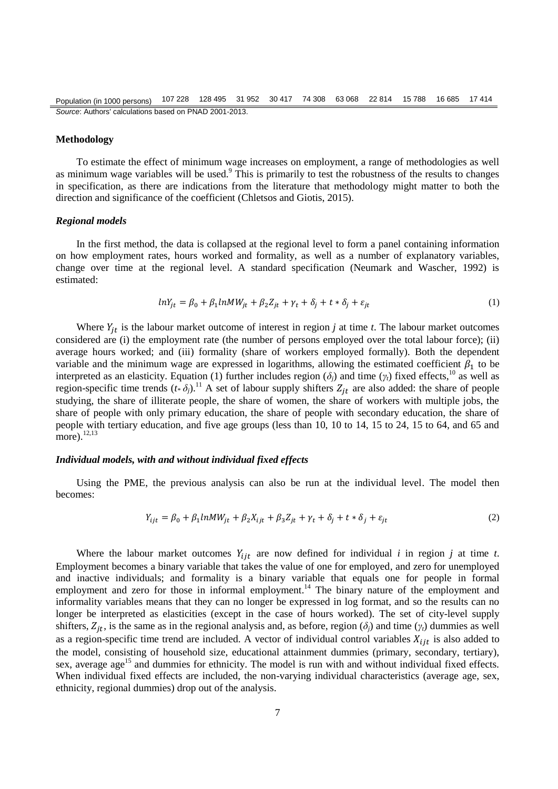## **Methodology**

To estimate the effect of minimum wage increases on employment, a range of methodologies as well as minimum wage variables will be used.<sup>9</sup> This is primarily to test the robustness of the results to changes in specification, as there are indications from the literature that methodology might matter to both the direction and significance of the coefficient (Chletsos and Giotis, 2015).

# *Regional models*

In the first method, the data is collapsed at the regional level to form a panel containing information on how employment rates, hours worked and formality, as well as a number of explanatory variables, change over time at the regional level. A standard specification (Neumark and Wascher, 1992) is estimated:

$$
lnY_{jt} = \beta_0 + \beta_1 lnMW_{jt} + \beta_2 Z_{jt} + \gamma_t + \delta_j + t * \delta_j + \varepsilon_{jt}
$$
\n<sup>(1)</sup>

Where  $Y_{it}$  is the labour market outcome of interest in region *j* at time *t*. The labour market outcomes considered are (i) the employment rate (the number of persons employed over the total labour force); (ii) average hours worked; and (iii) formality (share of workers employed formally). Both the dependent variable and the minimum wage are expressed in logarithms, allowing the estimated coefficient  $\beta_1$  to be interpreted as an elasticity. Equation (1) further includes region ( $\delta_j$ ) and time ( $\gamma_t$ ) fixed effects,<sup>10</sup> as well as region-specific time trends  $(t_* \delta_j)$ .<sup>11</sup> A set of labour supply shifters  $Z_{jt}$  are also added: the share of people studying, the share of illiterate people, the share of women, the share of workers with multiple jobs, the share of people with only primary education, the share of people with secondary education, the share of people with tertiary education, and five age groups (less than 10, 10 to 14, 15 to 24, 15 to 64, and 65 and more). $^{12,13}$ 

## *Individual models, with and without individual fixed effects*

Using the PME, the previous analysis can also be run at the individual level. The model then becomes:

$$
Y_{ijt} = \beta_0 + \beta_1 lnMW_{jt} + \beta_2 X_{ijt} + \beta_3 Z_{jt} + \gamma_t + \delta_j + t * \delta_j + \varepsilon_{jt}
$$
\n<sup>(2)</sup>

Where the labour market outcomes  $Y_{i}$  are now defined for individual *i* in region *j* at time *t*. Employment becomes a binary variable that takes the value of one for employed, and zero for unemployed and inactive individuals; and formality is a binary variable that equals one for people in formal employment and zero for those in informal employment.<sup>14</sup> The binary nature of the employment and informality variables means that they can no longer be expressed in log format, and so the results can no longer be interpreted as elasticities (except in the case of hours worked). The set of city-level supply shifters,  $Z_{it}$ , is the same as in the regional analysis and, as before, region ( $\delta_j$ ) and time ( $\gamma_t$ ) dummies as well as a region-specific time trend are included. A vector of individual control variables  $X_{i}$  is also added to the model, consisting of household size, educational attainment dummies (primary, secondary, tertiary), sex, average age<sup>15</sup> and dummies for ethnicity. The model is run with and without individual fixed effects. When individual fixed effects are included, the non-varying individual characteristics (average age, sex, ethnicity, regional dummies) drop out of the analysis.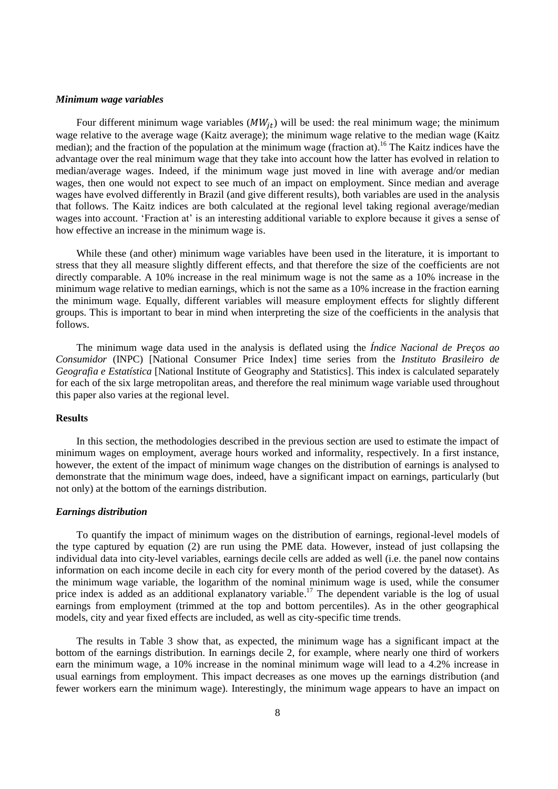#### *Minimum wage variables*

Four different minimum wage variables  $(MW_{it})$  will be used: the real minimum wage; the minimum wage relative to the average wage (Kaitz average); the minimum wage relative to the median wage (Kaitz median); and the fraction of the population at the minimum wage (fraction at).<sup>16</sup> The Kaitz indices have the advantage over the real minimum wage that they take into account how the latter has evolved in relation to median/average wages. Indeed, if the minimum wage just moved in line with average and/or median wages, then one would not expect to see much of an impact on employment. Since median and average wages have evolved differently in Brazil (and give different results), both variables are used in the analysis that follows. The Kaitz indices are both calculated at the regional level taking regional average/median wages into account. 'Fraction at' is an interesting additional variable to explore because it gives a sense of how effective an increase in the minimum wage is.

While these (and other) minimum wage variables have been used in the literature, it is important to stress that they all measure slightly different effects, and that therefore the size of the coefficients are not directly comparable. A 10% increase in the real minimum wage is not the same as a 10% increase in the minimum wage relative to median earnings, which is not the same as a 10% increase in the fraction earning the minimum wage. Equally, different variables will measure employment effects for slightly different groups. This is important to bear in mind when interpreting the size of the coefficients in the analysis that follows.

The minimum wage data used in the analysis is deflated using the *Índice Nacional de Preços ao Consumidor* (INPC) [National Consumer Price Index] time series from the *Instituto Brasileiro de Geografia e Estatística* [National Institute of Geography and Statistics]. This index is calculated separately for each of the six large metropolitan areas, and therefore the real minimum wage variable used throughout this paper also varies at the regional level.

# **Results**

In this section, the methodologies described in the previous section are used to estimate the impact of minimum wages on employment, average hours worked and informality, respectively. In a first instance, however, the extent of the impact of minimum wage changes on the distribution of earnings is analysed to demonstrate that the minimum wage does, indeed, have a significant impact on earnings, particularly (but not only) at the bottom of the earnings distribution.

#### *Earnings distribution*

To quantify the impact of minimum wages on the distribution of earnings, regional-level models of the type captured by equation (2) are run using the PME data. However, instead of just collapsing the individual data into city-level variables, earnings decile cells are added as well (i.e. the panel now contains information on each income decile in each city for every month of the period covered by the dataset). As the minimum wage variable, the logarithm of the nominal minimum wage is used, while the consumer price index is added as an additional explanatory variable.<sup>17</sup> The dependent variable is the log of usual earnings from employment (trimmed at the top and bottom percentiles). As in the other geographical models, city and year fixed effects are included, as well as city-specific time trends.

The results in Table 3 show that, as expected, the minimum wage has a significant impact at the bottom of the earnings distribution. In earnings decile 2, for example, where nearly one third of workers earn the minimum wage, a 10% increase in the nominal minimum wage will lead to a 4.2% increase in usual earnings from employment. This impact decreases as one moves up the earnings distribution (and fewer workers earn the minimum wage). Interestingly, the minimum wage appears to have an impact on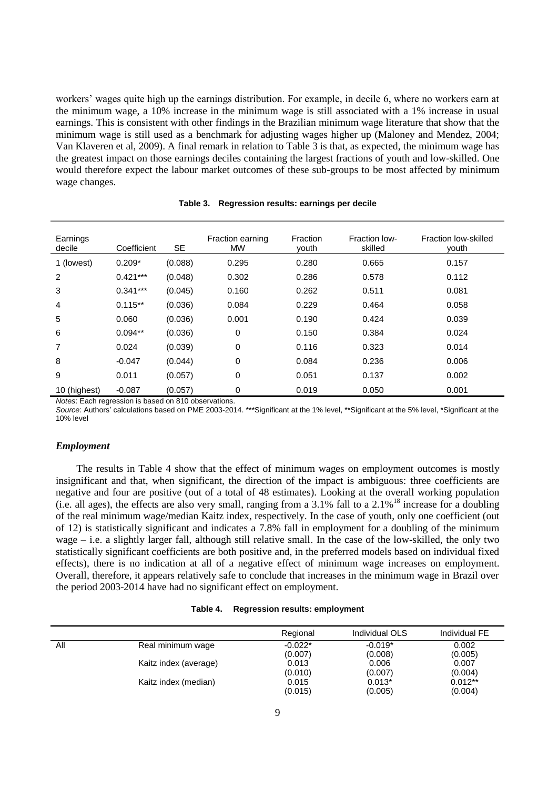workers' wages quite high up the earnings distribution. For example, in decile 6, where no workers earn at the minimum wage, a 10% increase in the minimum wage is still associated with a 1% increase in usual earnings. This is consistent with other findings in the Brazilian minimum wage literature that show that the minimum wage is still used as a benchmark for adjusting wages higher up (Maloney and Mendez, 2004; Van Klaveren et al, 2009). A final remark in relation to Table 3 is that, as expected, the minimum wage has the greatest impact on those earnings deciles containing the largest fractions of youth and low-skilled. One would therefore expect the labour market outcomes of these sub-groups to be most affected by minimum wage changes.

| Earnings<br>decile | Coefficient | <b>SE</b> | Fraction earning<br><b>MW</b> | Fraction<br>youth | Fraction low-<br>skilled | Fraction low-skilled<br>youth |
|--------------------|-------------|-----------|-------------------------------|-------------------|--------------------------|-------------------------------|
| 1 (lowest)         | $0.209*$    | (0.088)   | 0.295                         | 0.280             | 0.665                    | 0.157                         |
| 2                  | $0.421***$  | (0.048)   | 0.302                         | 0.286             | 0.578                    | 0.112                         |
| 3                  | $0.341***$  | (0.045)   | 0.160                         | 0.262             | 0.511                    | 0.081                         |
| 4                  | $0.115**$   | (0.036)   | 0.084                         | 0.229             | 0.464                    | 0.058                         |
| 5                  | 0.060       | (0.036)   | 0.001                         | 0.190             | 0.424                    | 0.039                         |
| 6                  | $0.094**$   | (0.036)   | 0                             | 0.150             | 0.384                    | 0.024                         |
| 7                  | 0.024       | (0.039)   | 0                             | 0.116             | 0.323                    | 0.014                         |
| 8                  | $-0.047$    | (0.044)   | 0                             | 0.084             | 0.236                    | 0.006                         |
| 9                  | 0.011       | (0.057)   | 0                             | 0.051             | 0.137                    | 0.002                         |
| 10 (highest)       | $-0.087$    | (0.057)   | 0                             | 0.019             | 0.050                    | 0.001                         |

# **Table 3. Regression results: earnings per decile**

*Notes*: Each regression is based on 810 observations.

*Source*: Authors' calculations based on PME 2003-2014. \*\*\*Significant at the 1% level, \*\*Significant at the 5% level, \*Significant at the 10% level

## *Employment*

The results in Table 4 show that the effect of minimum wages on employment outcomes is mostly insignificant and that, when significant, the direction of the impact is ambiguous: three coefficients are negative and four are positive (out of a total of 48 estimates). Looking at the overall working population (i.e. all ages), the effects are also very small, ranging from a  $3.1\%$  fall to a  $2.1\%$ <sup>18</sup> increase for a doubling of the real minimum wage/median Kaitz index, respectively. In the case of youth, only one coefficient (out of 12) is statistically significant and indicates a 7.8% fall in employment for a doubling of the minimum wage – i.e. a slightly larger fall, although still relative small. In the case of the low-skilled, the only two statistically significant coefficients are both positive and, in the preferred models based on individual fixed effects), there is no indication at all of a negative effect of minimum wage increases on employment. Overall, therefore, it appears relatively safe to conclude that increases in the minimum wage in Brazil over the period 2003-2014 have had no significant effect on employment.

| Table 4. | <b>Regression results: employment</b> |  |  |  |
|----------|---------------------------------------|--|--|--|
|----------|---------------------------------------|--|--|--|

|     |                       | Regional             | Individual OLS       | Individual FE        |
|-----|-----------------------|----------------------|----------------------|----------------------|
| All | Real minimum wage     | $-0.022*$<br>(0.007) | $-0.019*$<br>(0.008) | 0.002<br>(0.005)     |
|     | Kaitz index (average) | 0.013<br>(0.010)     | 0.006<br>(0.007)     | 0.007<br>(0.004)     |
|     | Kaitz index (median)  | 0.015<br>(0.015)     | $0.013*$<br>(0.005)  | $0.012**$<br>(0.004) |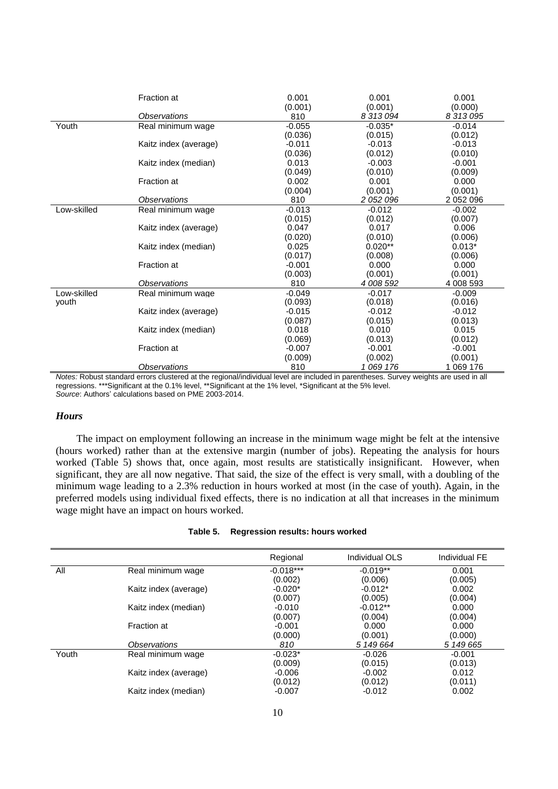|             | <b>Fraction at</b>    | 0.001    | 0.001     | 0.001     |
|-------------|-----------------------|----------|-----------|-----------|
|             |                       | (0.001)  | (0.001)   | (0.000)   |
|             | <b>Observations</b>   | 810      | 8 313 094 | 8 313 095 |
| Youth       | Real minimum wage     | $-0.055$ | $-0.035*$ | $-0.014$  |
|             |                       | (0.036)  | (0.015)   | (0.012)   |
|             | Kaitz index (average) | $-0.011$ | $-0.013$  | $-0.013$  |
|             |                       | (0.036)  | (0.012)   | (0.010)   |
|             | Kaitz index (median)  | 0.013    | $-0.003$  | $-0.001$  |
|             |                       | (0.049)  | (0.010)   | (0.009)   |
|             | Fraction at           | 0.002    | 0.001     | 0.000     |
|             |                       | (0.004)  | (0.001)   | (0.001)   |
|             | <b>Observations</b>   | 810      | 2 052 096 | 2 052 096 |
| Low-skilled | Real minimum wage     | $-0.013$ | $-0.012$  | $-0.002$  |
|             |                       | (0.015)  | (0.012)   | (0.007)   |
|             | Kaitz index (average) | 0.047    | 0.017     | 0.006     |
|             |                       | (0.020)  | (0.010)   | (0.006)   |
|             | Kaitz index (median)  | 0.025    | $0.020**$ | $0.013*$  |
|             |                       | (0.017)  | (0.008)   | (0.006)   |
|             | <b>Fraction at</b>    | $-0.001$ | 0.000     | 0.000     |
|             |                       | (0.003)  | (0.001)   | (0.001)   |
|             | <b>Observations</b>   | 810      | 4 008 592 | 4 008 593 |
| Low-skilled | Real minimum wage     | $-0.049$ | $-0.017$  | $-0.009$  |
| youth       |                       | (0.093)  | (0.018)   | (0.016)   |
|             | Kaitz index (average) | $-0.015$ | $-0.012$  | $-0.012$  |
|             |                       | (0.087)  | (0.015)   | (0.013)   |
|             | Kaitz index (median)  | 0.018    | 0.010     | 0.015     |
|             |                       | (0.069)  | (0.013)   | (0.012)   |
|             | <b>Fraction at</b>    | $-0.007$ | $-0.001$  | $-0.001$  |
|             |                       | (0.009)  | (0.002)   | (0.001)   |
|             | <b>Observations</b>   | 810      | 1069176   | 1 069 176 |

*Notes:* Robust standard errors clustered at the regional/individual level are included in parentheses. Survey weights are used in all regressions. \*\*\*Significant at the 0.1% level, \*\*Significant at the 1% level, \*Significant at the 5% level. *Source*: Authors' calculations based on PME 2003-2014.

# *Hours*

The impact on employment following an increase in the minimum wage might be felt at the intensive (hours worked) rather than at the extensive margin (number of jobs). Repeating the analysis for hours worked (Table 5) shows that, once again, most results are statistically insignificant. However, when significant, they are all now negative. That said, the size of the effect is very small, with a doubling of the minimum wage leading to a 2.3% reduction in hours worked at most (in the case of youth). Again, in the preferred models using individual fixed effects, there is no indication at all that increases in the minimum wage might have an impact on hours worked.

# **Table 5. Regression results: hours worked**

|       |                            | Regional    | Individual OLS | Individual FE |
|-------|----------------------------|-------------|----------------|---------------|
| All   | Real minimum wage          | $-0.018***$ | $-0.019**$     | 0.001         |
|       |                            | (0.002)     | (0.006)        | (0.005)       |
|       | Kaitz index (average)      | $-0.020*$   | $-0.012*$      | 0.002         |
|       |                            | (0.007)     | (0.005)        | (0.004)       |
|       | Kaitz index (median)       | $-0.010$    | $-0.012**$     | 0.000         |
|       |                            | (0.007)     | (0.004)        | (0.004)       |
|       | <b>Fraction at</b>         | $-0.001$    | 0.000          | 0.000         |
|       |                            | (0.000)     | (0.001)        | (0.000)       |
|       | <i><b>Observations</b></i> | 810         | 5 149 664      | 5 149 665     |
| Youth | Real minimum wage          | $-0.023*$   | $-0.026$       | $-0.001$      |
|       |                            | (0.009)     | (0.015)        | (0.013)       |
|       | Kaitz index (average)      | $-0.006$    | $-0.002$       | 0.012         |
|       |                            | (0.012)     | (0.012)        | (0.011)       |
|       | Kaitz index (median)       | $-0.007$    | $-0.012$       | 0.002         |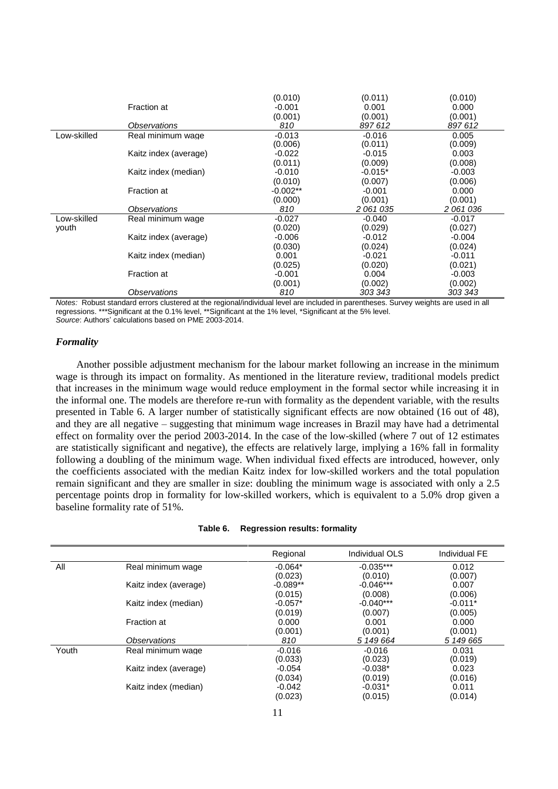|             |                       | (0.010)    | (0.011)   | (0.010)   |
|-------------|-----------------------|------------|-----------|-----------|
|             | <b>Fraction at</b>    | $-0.001$   | 0.001     | 0.000     |
|             |                       | (0.001)    | (0.001)   | (0.001)   |
|             | Observations          | 810        | 897612    | 897 612   |
| Low-skilled | Real minimum wage     | $-0.013$   | $-0.016$  | 0.005     |
|             |                       | (0.006)    | (0.011)   | (0.009)   |
|             | Kaitz index (average) | $-0.022$   | $-0.015$  | 0.003     |
|             |                       | (0.011)    | (0.009)   | (0.008)   |
|             | Kaitz index (median)  | $-0.010$   | $-0.015*$ | $-0.003$  |
|             |                       | (0.010)    | (0.007)   | (0.006)   |
|             | <b>Fraction at</b>    | $-0.002**$ | $-0.001$  | 0.000     |
|             |                       | (0.000)    | (0.001)   | (0.001)   |
|             | Observations          | 810        | 2 061 035 | 2 061 036 |
| Low-skilled | Real minimum wage     | $-0.027$   | $-0.040$  | $-0.017$  |
| youth       |                       | (0.020)    | (0.029)   | (0.027)   |
|             | Kaitz index (average) | $-0.006$   | $-0.012$  | $-0.004$  |
|             |                       | (0.030)    | (0.024)   | (0.024)   |
|             | Kaitz index (median)  | 0.001      | $-0.021$  | $-0.011$  |
|             |                       | (0.025)    | (0.020)   | (0.021)   |
|             | <b>Fraction at</b>    | $-0.001$   | 0.004     | $-0.003$  |
|             |                       | (0.001)    | (0.002)   | (0.002)   |
|             | Observations          | 810        | 303 343   | 303 343   |

*Notes:* Robust standard errors clustered at the regional/individual level are included in parentheses. Survey weights are used in all regressions. \*\*\*Significant at the 0.1% level, \*\*Significant at the 1% level, \*Significant at the 5% level. *Source*: Authors' calculations based on PME 2003-2014.

## *Formality*

Another possible adjustment mechanism for the labour market following an increase in the minimum wage is through its impact on formality. As mentioned in the literature review, traditional models predict that increases in the minimum wage would reduce employment in the formal sector while increasing it in the informal one. The models are therefore re-run with formality as the dependent variable, with the results presented in Table 6. A larger number of statistically significant effects are now obtained (16 out of 48), and they are all negative – suggesting that minimum wage increases in Brazil may have had a detrimental effect on formality over the period 2003-2014. In the case of the low-skilled (where 7 out of 12 estimates are statistically significant and negative), the effects are relatively large, implying a 16% fall in formality following a doubling of the minimum wage. When individual fixed effects are introduced, however, only the coefficients associated with the median Kaitz index for low-skilled workers and the total population remain significant and they are smaller in size: doubling the minimum wage is associated with only a 2.5 percentage points drop in formality for low-skilled workers, which is equivalent to a 5.0% drop given a baseline formality rate of 51%.

|       |                       | Regional   | <b>Individual OLS</b> | Individual FE |
|-------|-----------------------|------------|-----------------------|---------------|
| All   | Real minimum wage     | $-0.064*$  | $-0.035***$           | 0.012         |
|       |                       | (0.023)    | (0.010)               | (0.007)       |
|       | Kaitz index (average) | $-0.089**$ | $-0.046***$           | 0.007         |
|       |                       | (0.015)    | (0.008)               | (0.006)       |
|       | Kaitz index (median)  | $-0.057*$  | $-0.040***$           | $-0.011*$     |
|       |                       | (0.019)    | (0.007)               | (0.005)       |
|       | <b>Fraction at</b>    | 0.000      | 0.001                 | 0.000         |
|       |                       | (0.001)    | (0.001)               | (0.001)       |
|       | Observations          | 810        | 5 149 664             | 5 149 665     |
| Youth | Real minimum wage     | $-0.016$   | $-0.016$              | 0.031         |
|       |                       | (0.033)    | (0.023)               | (0.019)       |
|       | Kaitz index (average) | $-0.054$   | $-0.038*$             | 0.023         |
|       |                       | (0.034)    | (0.019)               | (0.016)       |
|       | Kaitz index (median)  | $-0.042$   | $-0.031*$             | 0.011         |
|       |                       | (0.023)    | (0.015)               | (0.014)       |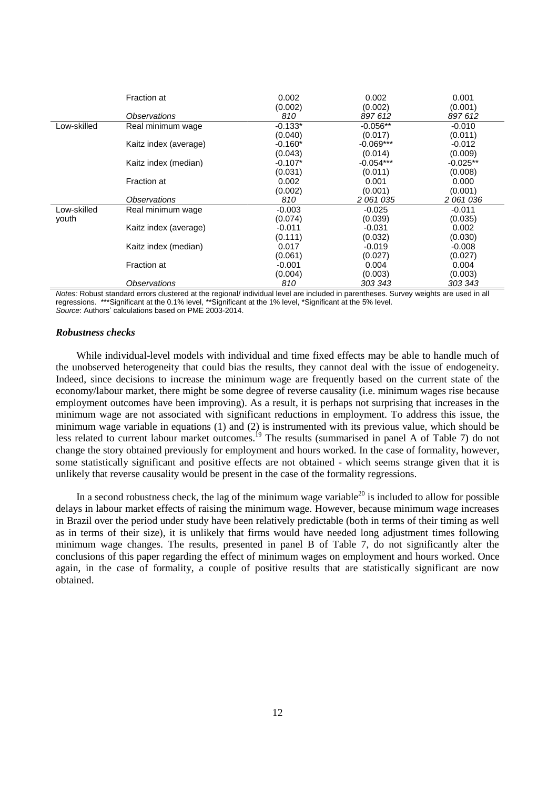|             | <b>Fraction</b> at         | 0.002     | 0.001       |            |
|-------------|----------------------------|-----------|-------------|------------|
|             |                            | (0.002)   | (0.002)     | (0.001)    |
|             | <i><b>Observations</b></i> | 810       | 897 612     | 897 612    |
| Low-skilled | Real minimum wage          | $-0.133*$ | $-0.056**$  | $-0.010$   |
|             |                            | (0.040)   | (0.017)     | (0.011)    |
|             | Kaitz index (average)      | $-0.160*$ | $-0.069***$ | $-0.012$   |
|             |                            | (0.043)   | (0.014)     | (0.009)    |
|             | Kaitz index (median)       | $-0.107*$ | $-0.054***$ | $-0.025**$ |
|             |                            | (0.031)   | (0.011)     | (0.008)    |
|             | <b>Fraction</b> at         | 0.002     | 0.001       | 0.000      |
|             |                            | (0.002)   | (0.001)     | (0.001)    |
|             | <i><b>Observations</b></i> | 810       | 2 061 035   | 2 061 036  |
| Low-skilled | Real minimum wage          | $-0.003$  | $-0.025$    | $-0.011$   |
| youth       |                            | (0.074)   | (0.039)     | (0.035)    |
|             | Kaitz index (average)      | $-0.011$  | $-0.031$    | 0.002      |
|             |                            | (0.111)   | (0.032)     | (0.030)    |
|             | Kaitz index (median)       | 0.017     | $-0.019$    | $-0.008$   |
|             |                            | (0.061)   | (0.027)     | (0.027)    |
|             | <b>Fraction</b> at         | $-0.001$  | 0.004       | 0.004      |
|             |                            | (0.004)   | (0.003)     | (0.003)    |
|             | <i><b>Observations</b></i> | 810       | 303 343     | 303 343    |

*Notes:* Robust standard errors clustered at the regional/ individual level are included in parentheses. Survey weights are used in all regressions. \*\*\*Significant at the 0.1% level, \*\*Significant at the 1% level, \*Significant at the 5% level. *Source*: Authors' calculations based on PME 2003-2014.

## *Robustness checks*

While individual-level models with individual and time fixed effects may be able to handle much of the unobserved heterogeneity that could bias the results, they cannot deal with the issue of endogeneity. Indeed, since decisions to increase the minimum wage are frequently based on the current state of the economy/labour market, there might be some degree of reverse causality (i.e. minimum wages rise because employment outcomes have been improving). As a result, it is perhaps not surprising that increases in the minimum wage are not associated with significant reductions in employment. To address this issue, the minimum wage variable in equations (1) and (2) is instrumented with its previous value, which should be less related to current labour market outcomes.<sup>19</sup> The results (summarised in panel A of Table 7) do not change the story obtained previously for employment and hours worked. In the case of formality, however, some statistically significant and positive effects are not obtained - which seems strange given that it is unlikely that reverse causality would be present in the case of the formality regressions.

In a second robustness check, the lag of the minimum wage variable<sup>20</sup> is included to allow for possible delays in labour market effects of raising the minimum wage. However, because minimum wage increases in Brazil over the period under study have been relatively predictable (both in terms of their timing as well as in terms of their size), it is unlikely that firms would have needed long adjustment times following minimum wage changes. The results, presented in panel B of Table 7, do not significantly alter the conclusions of this paper regarding the effect of minimum wages on employment and hours worked. Once again, in the case of formality, a couple of positive results that are statistically significant are now obtained.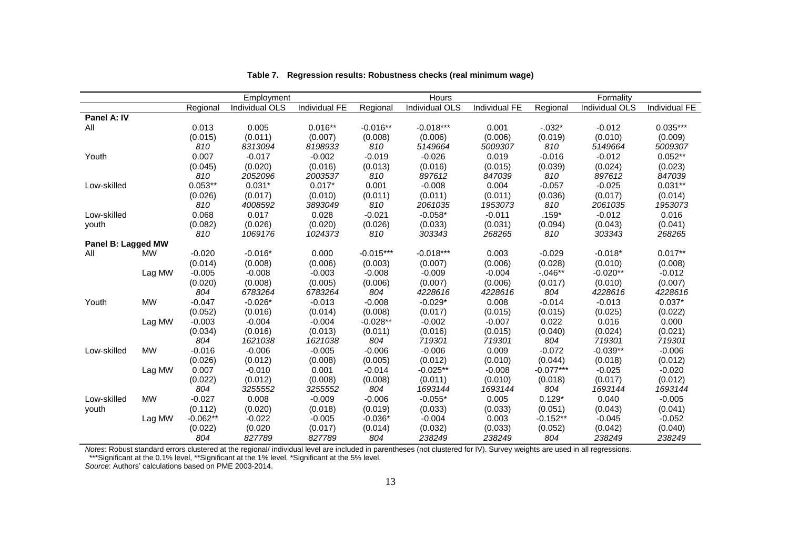|                    |           | Employment |                |               | Hours       |                |               | Formality   |                |               |  |
|--------------------|-----------|------------|----------------|---------------|-------------|----------------|---------------|-------------|----------------|---------------|--|
|                    |           | Regional   | Individual OLS | Individual FE | Regional    | Individual OLS | Individual FE | Regional    | Individual OLS | Individual FE |  |
| Panel A: IV        |           |            |                |               |             |                |               |             |                |               |  |
| All                |           | 0.013      | 0.005          | $0.016**$     | $-0.016**$  | $-0.018***$    | 0.001         | $-.032*$    | $-0.012$       | $0.035***$    |  |
|                    |           | (0.015)    | (0.011)        | (0.007)       | (0.008)     | (0.006)        | (0.006)       | (0.019)     | (0.010)        | (0.009)       |  |
|                    |           | 810        | 8313094        | 8198933       | 810         | 5149664        | 5009307       | 810         | 5149664        | 5009307       |  |
| Youth              |           | 0.007      | $-0.017$       | $-0.002$      | $-0.019$    | $-0.026$       | 0.019         | $-0.016$    | $-0.012$       | $0.052**$     |  |
|                    |           | (0.045)    | (0.020)        | (0.016)       | (0.013)     | (0.016)        | (0.015)       | (0.039)     | (0.024)        | (0.023)       |  |
|                    |           | 810        | 2052096        | 2003537       | 810         | 897612         | 847039        | 810         | 897612         | 847039        |  |
| Low-skilled        |           | $0.053**$  | $0.031*$       | $0.017*$      | 0.001       | $-0.008$       | 0.004         | $-0.057$    | $-0.025$       | $0.031**$     |  |
|                    |           | (0.026)    | (0.017)        | (0.010)       | (0.011)     | (0.011)        | (0.011)       | (0.036)     | (0.017)        | (0.014)       |  |
|                    |           | 810        | 4008592        | 3893049       | 810         | 2061035        | 1953073       | 810         | 2061035        | 1953073       |  |
| Low-skilled        |           | 0.068      | 0.017          | 0.028         | $-0.021$    | $-0.058*$      | $-0.011$      | $.159*$     | $-0.012$       | 0.016         |  |
| youth              |           | (0.082)    | (0.026)        | (0.020)       | (0.026)     | (0.033)        | (0.031)       | (0.094)     | (0.043)        | (0.041)       |  |
|                    |           | 810        | 1069176        | 1024373       | 810         | 303343         | 268265        | 810         | 303343         | 268265        |  |
| Panel B: Lagged MW |           |            |                |               |             |                |               |             |                |               |  |
| All                | <b>MW</b> | $-0.020$   | $-0.016*$      | 0.000         | $-0.015***$ | $-0.018***$    | 0.003         | $-0.029$    | $-0.018*$      | $0.017**$     |  |
|                    |           | (0.014)    | (0.008)        | (0.006)       | (0.003)     | (0.007)        | (0.006)       | (0.028)     | (0.010)        | (0.008)       |  |
|                    | Lag MW    | $-0.005$   | $-0.008$       | $-0.003$      | $-0.008$    | $-0.009$       | $-0.004$      | $-0.046**$  | $-0.020**$     | $-0.012$      |  |
|                    |           | (0.020)    | (0.008)        | (0.005)       | (0.006)     | (0.007)        | (0.006)       | (0.017)     | (0.010)        | (0.007)       |  |
|                    |           | 804        | 6783264        | 6783264       | 804         | 4228616        | 4228616       | 804         | 4228616        | 4228616       |  |
| Youth              | <b>MW</b> | $-0.047$   | $-0.026*$      | $-0.013$      | $-0.008$    | $-0.029*$      | 0.008         | $-0.014$    | $-0.013$       | $0.037*$      |  |
|                    |           | (0.052)    | (0.016)        | (0.014)       | (0.008)     | (0.017)        | (0.015)       | (0.015)     | (0.025)        | (0.022)       |  |
|                    | Lag MW    | $-0.003$   | $-0.004$       | $-0.004$      | $-0.028**$  | $-0.002$       | $-0.007$      | 0.022       | 0.016          | 0.000         |  |
|                    |           | (0.034)    | (0.016)        | (0.013)       | (0.011)     | (0.016)        | (0.015)       | (0.040)     | (0.024)        | (0.021)       |  |
|                    |           | 804        | 1621038        | 1621038       | 804         | 719301         | 719301        | 804         | 719301         | 719301        |  |
| Low-skilled        | <b>MW</b> | $-0.016$   | $-0.006$       | $-0.005$      | $-0.006$    | $-0.006$       | 0.009         | $-0.072$    | $-0.039**$     | $-0.006$      |  |
|                    |           | (0.026)    | (0.012)        | (0.008)       | (0.005)     | (0.012)        | (0.010)       | (0.044)     | (0.018)        | (0.012)       |  |
|                    | Lag MW    | 0.007      | $-0.010$       | 0.001         | $-0.014$    | $-0.025**$     | $-0.008$      | $-0.077***$ | $-0.025$       | $-0.020$      |  |
|                    |           | (0.022)    | (0.012)        | (0.008)       | (0.008)     | (0.011)        | (0.010)       | (0.018)     | (0.017)        | (0.012)       |  |
|                    |           | 804        | 3255552        | 3255552       | 804         | 1693144        | 1693144       | 804         | 1693144        | 1693144       |  |
| Low-skilled        | <b>MW</b> | $-0.027$   | 0.008          | $-0.009$      | $-0.006$    | $-0.055*$      | 0.005         | $0.129*$    | 0.040          | $-0.005$      |  |
| youth              |           | (0.112)    | (0.020)        | (0.018)       | (0.019)     | (0.033)        | (0.033)       | (0.051)     | (0.043)        | (0.041)       |  |
|                    | Lag MW    | $-0.062**$ | $-0.022$       | $-0.005$      | $-0.036*$   | $-0.004$       | 0.003         | $-0.152**$  | $-0.045$       | $-0.052$      |  |
|                    |           | (0.022)    | (0.020)        | (0.017)       | (0.014)     | (0.032)        | (0.033)       | (0.052)     | (0.042)        | (0.040)       |  |
|                    |           | 804        | 827789         | 827789        | 804         | 238249         | 238249        | 804         | 238249         | 238249        |  |

|  |  |  |  | Table 7. Regression results: Robustness checks (real minimum wage) |  |  |  |  |  |  |
|--|--|--|--|--------------------------------------------------------------------|--|--|--|--|--|--|
|--|--|--|--|--------------------------------------------------------------------|--|--|--|--|--|--|

*Notes*: Robust standard errors clustered at the regional/ individual level are included in parentheses (not clustered for IV). Survey weights are used in all regressions.

\*\*\*Significant at the 0.1% level, \*\*Significant at the 1% level, \*Significant at the 5% level.

*Source*: Authors' calculations based on PME 2003-2014.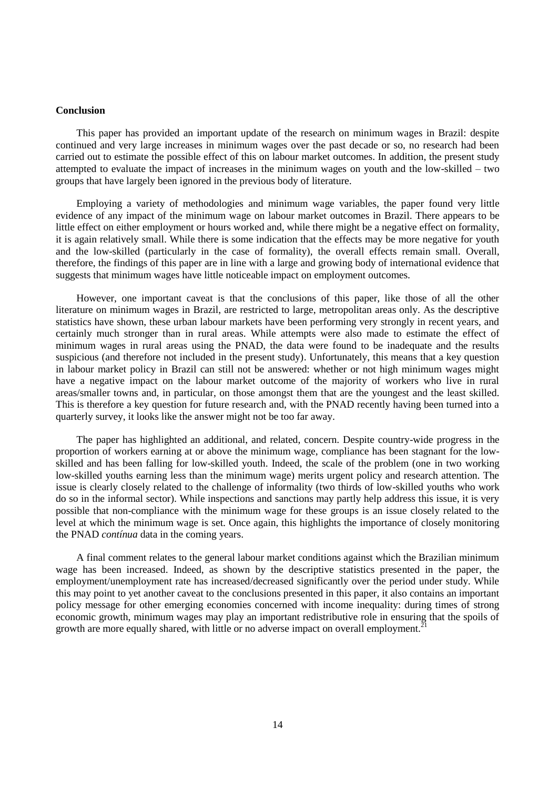# **Conclusion**

This paper has provided an important update of the research on minimum wages in Brazil: despite continued and very large increases in minimum wages over the past decade or so, no research had been carried out to estimate the possible effect of this on labour market outcomes. In addition, the present study attempted to evaluate the impact of increases in the minimum wages on youth and the low-skilled – two groups that have largely been ignored in the previous body of literature.

Employing a variety of methodologies and minimum wage variables, the paper found very little evidence of any impact of the minimum wage on labour market outcomes in Brazil. There appears to be little effect on either employment or hours worked and, while there might be a negative effect on formality, it is again relatively small. While there is some indication that the effects may be more negative for youth and the low-skilled (particularly in the case of formality), the overall effects remain small. Overall, therefore, the findings of this paper are in line with a large and growing body of international evidence that suggests that minimum wages have little noticeable impact on employment outcomes.

However, one important caveat is that the conclusions of this paper, like those of all the other literature on minimum wages in Brazil, are restricted to large, metropolitan areas only. As the descriptive statistics have shown, these urban labour markets have been performing very strongly in recent years, and certainly much stronger than in rural areas. While attempts were also made to estimate the effect of minimum wages in rural areas using the PNAD, the data were found to be inadequate and the results suspicious (and therefore not included in the present study). Unfortunately, this means that a key question in labour market policy in Brazil can still not be answered: whether or not high minimum wages might have a negative impact on the labour market outcome of the majority of workers who live in rural areas/smaller towns and, in particular, on those amongst them that are the youngest and the least skilled. This is therefore a key question for future research and, with the PNAD recently having been turned into a quarterly survey, it looks like the answer might not be too far away.

The paper has highlighted an additional, and related, concern. Despite country-wide progress in the proportion of workers earning at or above the minimum wage, compliance has been stagnant for the lowskilled and has been falling for low-skilled youth. Indeed, the scale of the problem (one in two working low-skilled youths earning less than the minimum wage) merits urgent policy and research attention. The issue is clearly closely related to the challenge of informality (two thirds of low-skilled youths who work do so in the informal sector). While inspections and sanctions may partly help address this issue, it is very possible that non-compliance with the minimum wage for these groups is an issue closely related to the level at which the minimum wage is set. Once again, this highlights the importance of closely monitoring the PNAD *contínua* data in the coming years.

A final comment relates to the general labour market conditions against which the Brazilian minimum wage has been increased. Indeed, as shown by the descriptive statistics presented in the paper, the employment/unemployment rate has increased/decreased significantly over the period under study. While this may point to yet another caveat to the conclusions presented in this paper, it also contains an important policy message for other emerging economies concerned with income inequality: during times of strong economic growth, minimum wages may play an important redistributive role in ensuring that the spoils of growth are more equally shared, with little or no adverse impact on overall employment.<sup>2</sup>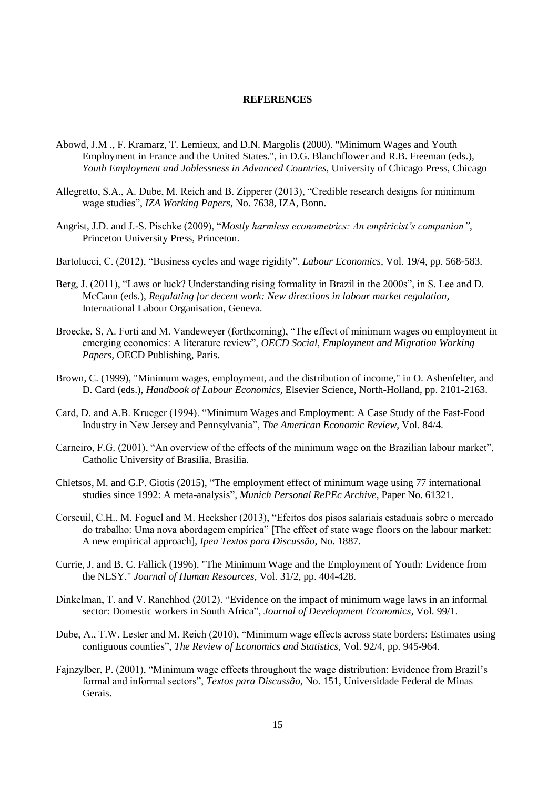# **REFERENCES**

- Abowd, J.M ., F. Kramarz, T. Lemieux, and D.N. Margolis (2000). "Minimum Wages and Youth Employment in France and the United States.", in D.G. Blanchflower and R.B. Freeman (eds.), *Youth Employment and Joblessness in Advanced Countries*, University of Chicago Press, Chicago
- Allegretto, S.A., A. Dube, M. Reich and B. Zipperer (2013), "Credible research designs for minimum wage studies", *IZA Working Papers*, No. 7638, IZA, Bonn.
- Angrist, J.D. and J.-S. Pischke (2009), "*Mostly harmless econometrics: An empiricist's companion"*, Princeton University Press, Princeton.
- Bartolucci, C. (2012), "Business cycles and wage rigidity", *Labour Economics*, Vol. 19/4, pp. 568-583.
- Berg, J. (2011), "Laws or luck? Understanding rising formality in Brazil in the 2000s", in S. Lee and D. McCann (eds.), *Regulating for decent work: New directions in labour market regulation,*  International Labour Organisation, Geneva.
- Broecke, S, A. Forti and M. Vandeweyer (forthcoming), "The effect of minimum wages on employment in emerging economics: A literature review", *OECD Social, Employment and Migration Working Papers*, OECD Publishing, Paris.
- Brown, C. (1999), "Minimum wages, employment, and the distribution of income," in O. Ashenfelter, and D. Card (eds.), *Handbook of Labour Economics*, Elsevier Science, North-Holland, pp. 2101-2163.
- Card, D. and A.B. Krueger (1994). "Minimum Wages and Employment: A Case Study of the Fast-Food Industry in New Jersey and Pennsylvania", *The American Economic Review*, Vol. 84/4.
- Carneiro, F.G. (2001), "An overview of the effects of the minimum wage on the Brazilian labour market", Catholic University of Brasilia, Brasilia.
- Chletsos, M. and G.P. Giotis (2015), "The employment effect of minimum wage using 77 international studies since 1992: A meta-analysis", *Munich Personal RePEc Archive*, Paper No. 61321.
- Corseuil, C.H., M. Foguel and M. Hecksher (2013), "Efeitos dos pisos salariais estaduais sobre o mercado do trabalho: Uma nova abordagem empírica" [The effect of state wage floors on the labour market: A new empirical approach], *Ipea Textos para Discussão*, No. 1887.
- Currie, J. and B. C. Fallick (1996). "The Minimum Wage and the Employment of Youth: Evidence from the NLSY." *Journal of Human Resources,* Vol*.* 31/2, pp. 404-428.
- Dinkelman, T. and V. Ranchhod (2012). "Evidence on the impact of minimum wage laws in an informal sector: Domestic workers in South Africa", *Journal of Development Economics*, Vol. 99/1.
- Dube, A., T.W. Lester and M. Reich (2010), "Minimum wage effects across state borders: Estimates using contiguous counties", *The Review of Economics and Statistics*, Vol. 92/4, pp. 945-964.
- Fajnzylber, P. (2001), "Minimum wage effects throughout the wage distribution: Evidence from Brazil's formal and informal sectors", *Textos para Discussão*, No. 151, Universidade Federal de Minas Gerais.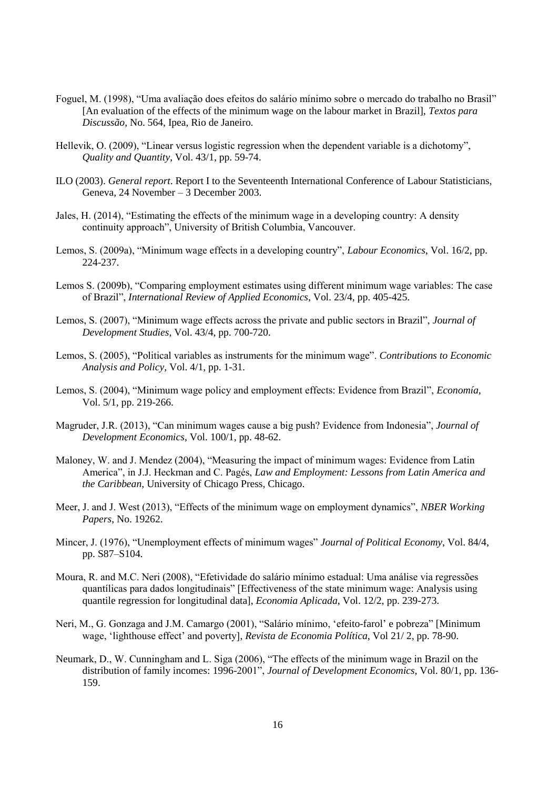- Foguel, M. (1998), "Uma avaliação does efeitos do salário mínimo sobre o mercado do trabalho no Brasil" [An evaluation of the effects of the minimum wage on the labour market in Brazil], *Textos para Discussão*, No. 564, Ipea, Rio de Janeiro.
- Hellevik, O. (2009), "Linear versus logistic regression when the dependent variable is a dichotomy", *Quality and Quantity*, Vol. 43/1, pp. 59-74.
- ILO (2003). *General report*. Report I to the Seventeenth International Conference of Labour Statisticians, Geneva, 24 November – 3 December 2003.
- Jales, H. (2014), "Estimating the effects of the minimum wage in a developing country: A density continuity approach", University of British Columbia, Vancouver.
- Lemos, S. (2009a), "Minimum wage effects in a developing country", *Labour Economics*, Vol. 16/2, pp. 224-237.
- Lemos S. (2009b), "Comparing employment estimates using different minimum wage variables: The case of Brazil", *International Review of Applied Economics*, Vol. 23/4, pp. 405-425.
- Lemos, S. (2007), "Minimum wage effects across the private and public sectors in Brazil", *Journal of Development Studies*, Vol. 43/4, pp. 700-720.
- Lemos, S. (2005), "Political variables as instruments for the minimum wage". *Contributions to Economic Analysis and Policy*, Vol. 4/1, pp. 1-31.
- Lemos, S. (2004), "Minimum wage policy and employment effects: Evidence from Brazil", *Economía*, Vol. 5/1, pp. 219-266.
- Magruder, J.R. (2013), "Can minimum wages cause a big push? Evidence from Indonesia", *Journal of Development Economics*, Vol. 100/1, pp. 48-62.
- Maloney, W. and J. Mendez (2004), "Measuring the impact of minimum wages: Evidence from Latin America", in J.J. Heckman and C. Pagés, *Law and Employment: Lessons from Latin America and the Caribbean*, University of Chicago Press, Chicago.
- Meer, J. and J. West (2013), "Effects of the minimum wage on employment dynamics", *NBER Working Papers*, No. 19262.
- Mincer, J. (1976), "Unemployment effects of minimum wages" *Journal of Political Economy*, Vol. 84/4, pp. S87–S104.
- Moura, R. and M.C. Neri (2008), "Efetividade do salário mínimo estadual: Uma análise via regressões quantílicas para dados longitudinais" [Effectiveness of the state minimum wage: Analysis using quantile regression for longitudinal data], *Economia Aplicada*, Vol. 12/2, pp. 239-273.
- Neri, M., G. Gonzaga and J.M. Camargo (2001), "Salário mínimo, 'efeito-farol' e pobreza" [Minimum wage, 'lighthouse effect' and poverty], *Revista de Economia Política*, Vol 21/ 2, pp. 78-90.
- Neumark, D., W. Cunningham and L. Siga (2006), "The effects of the minimum wage in Brazil on the distribution of family incomes: 1996-2001", *Journal of Development Economics*, Vol. 80/1, pp. 136- 159.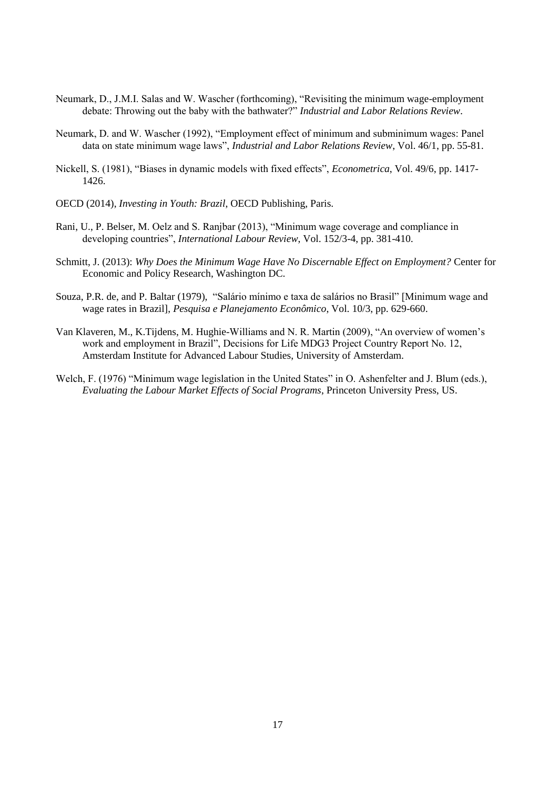- Neumark, D., J.M.I. Salas and W. Wascher (forthcoming), "Revisiting the minimum wage-employment debate: Throwing out the baby with the bathwater?" *Industrial and Labor Relations Review*.
- Neumark, D. and W. Wascher (1992), "Employment effect of minimum and subminimum wages: Panel data on state minimum wage laws", *Industrial and Labor Relations Review*, Vol. 46/1, pp. 55-81.
- Nickell, S. (1981), "Biases in dynamic models with fixed effects", *Econometrica*, Vol. 49/6, pp. 1417- 1426.
- OECD (2014), *Investing in Youth: Brazil*, OECD Publishing, Paris.
- Rani, U., P. Belser, M. Oelz and S. Ranjbar (2013), "Minimum wage coverage and compliance in developing countries", *International Labour Review*, Vol. 152/3-4, pp. 381-410.
- Schmitt, J. (2013): *Why Does the Minimum Wage Have No Discernable Effect on Employment?* Center for Economic and Policy Research, Washington DC.
- Souza, P.R. de, and P. Baltar (1979), "Salário mínimo e taxa de salários no Brasil" [Minimum wage and wage rates in Brazil], *Pesquisa e Planejamento Econômico*, Vol. 10/3, pp. 629-660.
- Van Klaveren, M., K.Tijdens, M. Hughie-Williams and N. R. Martin (2009), "An overview of women's work and employment in Brazil", Decisions for Life MDG3 Project Country Report No. 12, Amsterdam Institute for Advanced Labour Studies, University of Amsterdam.
- Welch, F. (1976) "Minimum wage legislation in the United States" in O. Ashenfelter and J. Blum (eds.), *Evaluating the Labour Market Effects of Social Programs*, Princeton University Press, US.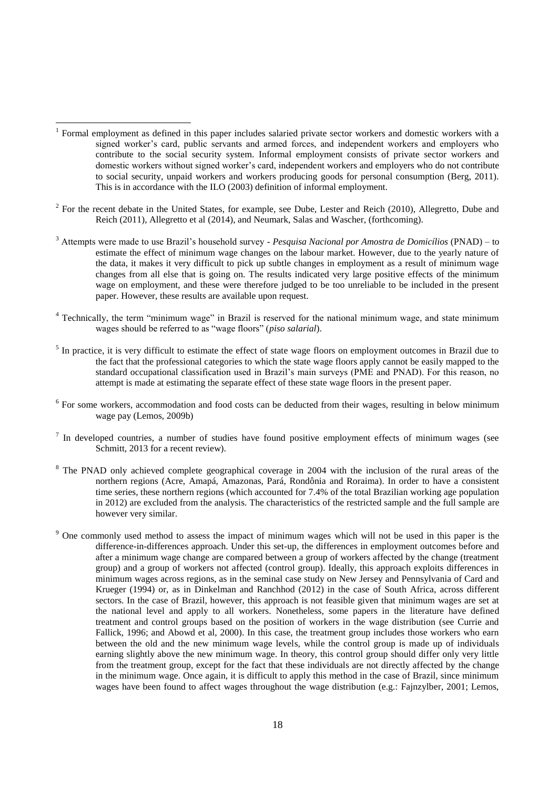- $2^2$  For the recent debate in the United States, for example, see Dube, Lester and Reich (2010), Allegretto, Dube and Reich (2011), Allegretto et al (2014), and Neumark, Salas and Wascher, (forthcoming).
- <sup>3</sup> Attempts were made to use Brazil's household survey *Pesquisa Nacional por Amostra de Domicílios* (PNAD) to estimate the effect of minimum wage changes on the labour market. However, due to the yearly nature of the data, it makes it very difficult to pick up subtle changes in employment as a result of minimum wage changes from all else that is going on. The results indicated very large positive effects of the minimum wage on employment, and these were therefore judged to be too unreliable to be included in the present paper. However, these results are available upon request.
- <sup>4</sup> Technically, the term "minimum wage" in Brazil is reserved for the national minimum wage, and state minimum wages should be referred to as "wage floors" (*piso salarial*).
- <sup>5</sup> In practice, it is very difficult to estimate the effect of state wage floors on employment outcomes in Brazil due to the fact that the professional categories to which the state wage floors apply cannot be easily mapped to the standard occupational classification used in Brazil's main surveys (PME and PNAD). For this reason, no attempt is made at estimating the separate effect of these state wage floors in the present paper.
- <sup>6</sup> For some workers, accommodation and food costs can be deducted from their wages, resulting in below minimum wage pay (Lemos, 2009b)
- $<sup>7</sup>$  In developed countries, a number of studies have found positive employment effects of minimum wages (see</sup> Schmitt, 2013 for a recent review).
- <sup>8</sup> The PNAD only achieved complete geographical coverage in 2004 with the inclusion of the rural areas of the northern regions (Acre, Amapá, Amazonas, Pará, Rondônia and Roraima). In order to have a consistent time series, these northern regions (which accounted for 7.4% of the total Brazilian working age population in 2012) are excluded from the analysis. The characteristics of the restricted sample and the full sample are however very similar.
- <sup>9</sup> One commonly used method to assess the impact of minimum wages which will not be used in this paper is the difference-in-differences approach. Under this set-up, the differences in employment outcomes before and after a minimum wage change are compared between a group of workers affected by the change (treatment group) and a group of workers not affected (control group). Ideally, this approach exploits differences in minimum wages across regions, as in the seminal case study on New Jersey and Pennsylvania of Card and Krueger (1994) or, as in Dinkelman and Ranchhod (2012) in the case of South Africa, across different sectors. In the case of Brazil, however, this approach is not feasible given that minimum wages are set at the national level and apply to all workers. Nonetheless, some papers in the literature have defined treatment and control groups based on the position of workers in the wage distribution (see Currie and Fallick, 1996; and Abowd et al, 2000). In this case, the treatment group includes those workers who earn between the old and the new minimum wage levels, while the control group is made up of individuals earning slightly above the new minimum wage. In theory, this control group should differ only very little from the treatment group, except for the fact that these individuals are not directly affected by the change in the minimum wage. Once again, it is difficult to apply this method in the case of Brazil, since minimum wages have been found to affect wages throughout the wage distribution (e.g.: Fajnzylber, 2001; Lemos,

 1 Formal employment as defined in this paper includes salaried private sector workers and domestic workers with a signed worker's card, public servants and armed forces, and independent workers and employers who contribute to the social security system. Informal employment consists of private sector workers and domestic workers without signed worker's card, independent workers and employers who do not contribute to social security, unpaid workers and workers producing goods for personal consumption (Berg, 2011). This is in accordance with the ILO (2003) definition of informal employment.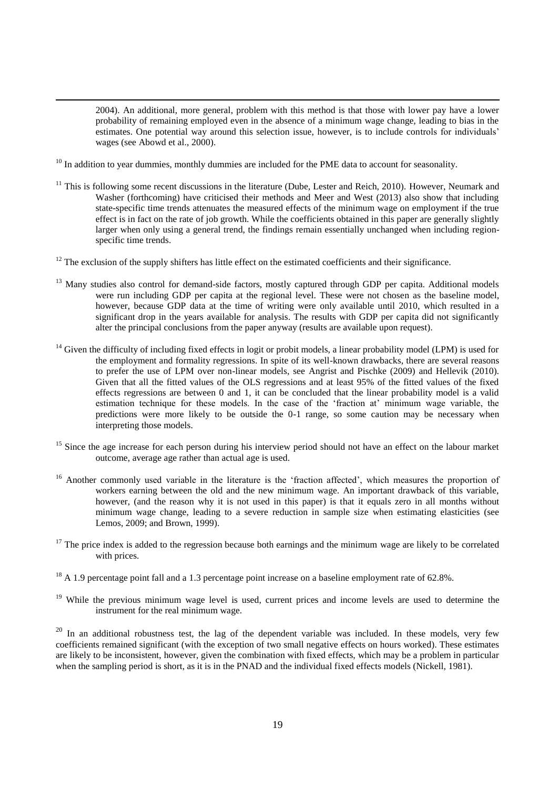2004). An additional, more general, problem with this method is that those with lower pay have a lower probability of remaining employed even in the absence of a minimum wage change, leading to bias in the estimates. One potential way around this selection issue, however, is to include controls for individuals' wages (see Abowd et al., 2000).

<sup>10</sup> In addition to year dummies, monthly dummies are included for the PME data to account for seasonality.

 $\overline{a}$ 

- $11$  This is following some recent discussions in the literature (Dube, Lester and Reich, 2010). However, Neumark and Washer (forthcoming) have criticised their methods and Meer and West (2013) also show that including state-specific time trends attenuates the measured effects of the minimum wage on employment if the true effect is in fact on the rate of job growth. While the coefficients obtained in this paper are generally slightly larger when only using a general trend, the findings remain essentially unchanged when including regionspecific time trends.
- $12$  The exclusion of the supply shifters has little effect on the estimated coefficients and their significance.
- <sup>13</sup> Many studies also control for demand-side factors, mostly captured through GDP per capita. Additional models were run including GDP per capita at the regional level. These were not chosen as the baseline model, however, because GDP data at the time of writing were only available until 2010, which resulted in a significant drop in the years available for analysis. The results with GDP per capita did not significantly alter the principal conclusions from the paper anyway (results are available upon request).
- $14$  Given the difficulty of including fixed effects in logit or probit models, a linear probability model (LPM) is used for the employment and formality regressions. In spite of its well-known drawbacks, there are several reasons to prefer the use of LPM over non-linear models, see Angrist and Pischke (2009) and Hellevik (2010). Given that all the fitted values of the OLS regressions and at least 95% of the fitted values of the fixed effects regressions are between 0 and 1, it can be concluded that the linear probability model is a valid estimation technique for these models. In the case of the 'fraction at' minimum wage variable, the predictions were more likely to be outside the 0-1 range, so some caution may be necessary when interpreting those models.
- <sup>15</sup> Since the age increase for each person during his interview period should not have an effect on the labour market outcome, average age rather than actual age is used.
- <sup>16</sup> Another commonly used variable in the literature is the 'fraction affected', which measures the proportion of workers earning between the old and the new minimum wage. An important drawback of this variable, however, (and the reason why it is not used in this paper) is that it equals zero in all months without minimum wage change, leading to a severe reduction in sample size when estimating elasticities (see Lemos, 2009; and Brown, 1999).
- $17$  The price index is added to the regression because both earnings and the minimum wage are likely to be correlated with prices.

<sup>19</sup> While the previous minimum wage level is used, current prices and income levels are used to determine the instrument for the real minimum wage.

 $^{20}$  In an additional robustness test, the lag of the dependent variable was included. In these models, very few coefficients remained significant (with the exception of two small negative effects on hours worked). These estimates are likely to be inconsistent, however, given the combination with fixed effects, which may be a problem in particular when the sampling period is short, as it is in the PNAD and the individual fixed effects models (Nickell, 1981).

<sup>&</sup>lt;sup>18</sup> A 1.9 percentage point fall and a 1.3 percentage point increase on a baseline employment rate of 62.8%.